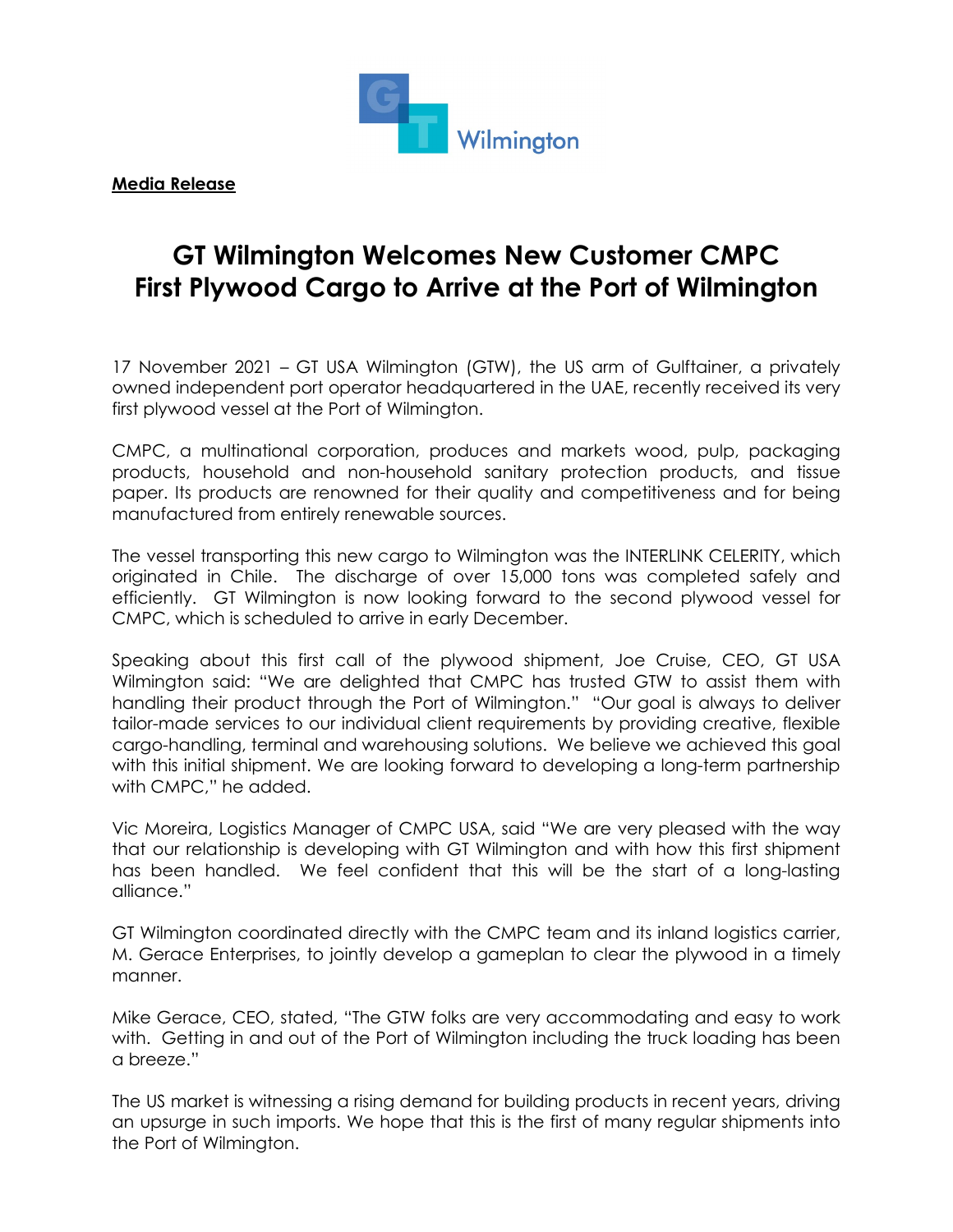

**Media Release**

## **GT Wilmington Welcomes New Customer CMPC First Plywood Cargo to Arrive at the Port of Wilmington**

17 November 2021 – GT USA Wilmington (GTW), the US arm of Gulftainer, a privately owned independent port operator headquartered in the UAE, recently received its very first plywood vessel at the Port of Wilmington.

CMPC, a multinational corporation, produces and markets wood, pulp, packaging products, household and non-household sanitary protection products, and tissue paper. Its products are renowned for their quality and competitiveness and for being manufactured from entirely renewable sources.

The vessel transporting this new cargo to Wilmington was the INTERLINK CELERITY, which originated in Chile. The discharge of over 15,000 tons was completed safely and efficiently. GT Wilmington is now looking forward to the second plywood vessel for CMPC, which is scheduled to arrive in early December.

Speaking about this first call of the plywood shipment, Joe Cruise, CEO, GT USA Wilmington said: "We are delighted that CMPC has trusted GTW to assist them with handling their product through the Port of Wilmington." "Our goal is always to deliver tailor-made services to our individual client requirements by providing creative, flexible cargo-handling, terminal and warehousing solutions. We believe we achieved this goal with this initial shipment. We are looking forward to developing a long-term partnership with CMPC," he added.

Vic Moreira, Logistics Manager of CMPC USA, said "We are very pleased with the way that our relationship is developing with GT Wilmington and with how this first shipment has been handled. We feel confident that this will be the start of a long-lasting alliance."

GT Wilmington coordinated directly with the CMPC team and its inland logistics carrier, M. Gerace Enterprises, to jointly develop a gameplan to clear the plywood in a timely manner.

Mike Gerace, CEO, stated, "The GTW folks are very accommodating and easy to work with. Getting in and out of the Port of Wilmington including the truck loading has been a breeze."

The US market is witnessing a rising demand for building products in recent years, driving an upsurge in such imports. We hope that this is the first of many regular shipments into the Port of Wilmington.